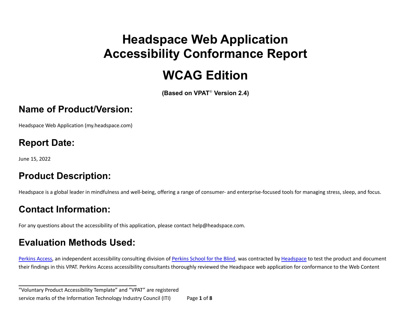# **Headspace Web Application Accessibility Conformance Report**

# **WCAG Edition**

**(Based on VPAT**® **Version 2.4)**

#### **Name of Product/Version:**

Headspace Web Application ([my.headspace.com\)](https://my.headspace.com)

#### **Report Date:**

June 15, 2022

#### **Product Description:**

Headspace is a global leader in mindfulness and well-being, offering a range of consumer- and enterprise-focused tools for managing stress, sleep, and focus.

### **Contact Information:**

For any questions about the accessibility of this application, please contact [help@headspace.com.](mailto:help@headspace.com)

### **Evaluation Methods Used:**

**\_\_\_\_\_\_\_\_\_\_\_\_\_\_\_\_\_\_\_\_\_\_\_\_\_\_\_\_\_\_\_\_\_\_**

[Perkins](https://www.perkins.org/) Access, an independent accessibility consulting division of Perkins School for the Blind, was contracted by [Headspace](https://www.headspace.com/) to test the product and document their findings in this VPAT. Perkins Access accessibility consultants thoroughly reviewed the Headspace web application for conformance to the Web Content

 "Voluntary Product Accessibility Template" and "VPAT" are registered service marks of the Information Technology Industry Council (ITI) Page **1** of **8**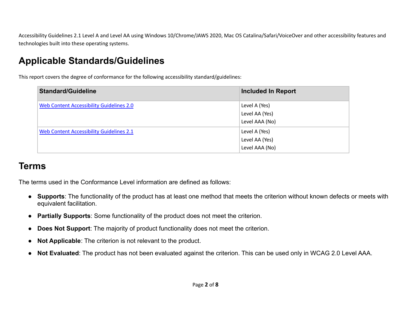Accessibility Guidelines 2.1 Level A and Level AA using Windows 10/Chrome/JAWS 2020, Mac OS Catalina/Safari/VoiceOver and other accessibility features and technologies built into these operating systems.

# **Applicable Standards/Guidelines**

This report covers the degree of conformance for the following accessibility standard/guidelines:

| <b>Standard/Guideline</b>                       | <b>Included In Report</b>                         |
|-------------------------------------------------|---------------------------------------------------|
| <b>Web Content Accessibility Guidelines 2.0</b> | Level A (Yes)<br>Level AA (Yes)<br>Level AAA (No) |
| <b>Web Content Accessibility Guidelines 2.1</b> | Level A (Yes)<br>Level AA (Yes)<br>Level AAA (No) |

# **Terms**

The terms used in the Conformance Level information are defined as follows:

- **Supports**: The functionality of the product has at least one method that meets the criterion without known defects or meets with equivalent facilitation.
- **Partially Supports**: Some functionality of the product does not meet the criterion.
- **Does Not Support**: The majority of product functionality does not meet the criterion.
- **Not Applicable**: The criterion is not relevant to the product.
- **Not Evaluated**: The product has not been evaluated against the criterion. This can be used only in WCAG 2.0 Level AAA.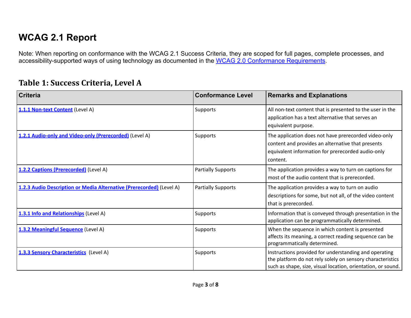# **WCAG 2.1 Report**

Note: When reporting on conformance with the WCAG 2.1 Success Criteria, they are scoped for full pages, complete processes, and accessibility-supported ways of using technology as documented in the [WCAG 2.0 Conformance Requirements.](https://www.w3.org/TR/WCAG20/#conformance-reqs)

#### **Table 1: Success Criteria, Level A**

| <b>Criteria</b>                                                      | <b>Conformance Level</b>  | <b>Remarks and Explanations</b>                                                                                                                                                     |
|----------------------------------------------------------------------|---------------------------|-------------------------------------------------------------------------------------------------------------------------------------------------------------------------------------|
| 1.1.1 Non-text Content (Level A)                                     | <b>Supports</b>           | All non-text content that is presented to the user in the<br>application has a text alternative that serves an<br>equivalent purpose.                                               |
| 1.2.1 Audio-only and Video-only (Prerecorded) (Level A)              | Supports                  | The application does not have prerecorded video-only<br>content and provides an alternative that presents<br>equivalent information for prerecorded audio-only<br>content.          |
| 1.2.2 Captions (Prerecorded) (Level A)                               | <b>Partially Supports</b> | The application provides a way to turn on captions for<br>most of the audio content that is prerecorded.                                                                            |
| 1.2.3 Audio Description or Media Alternative (Prerecorded) (Level A) | <b>Partially Supports</b> | The application provides a way to turn on audio<br>descriptions for some, but not all, of the video content<br>that is prerecorded.                                                 |
| 1.3.1 Info and Relationships (Level A)                               | <b>Supports</b>           | Information that is conveyed through presentation in the<br>application can be programmatically determined.                                                                         |
| 1.3.2 Meaningful Sequence (Level A)                                  | Supports                  | When the sequence in which content is presented<br>affects its meaning, a correct reading sequence can be<br>programmatically determined.                                           |
| 1.3.3 Sensory Characteristics (Level A)                              | Supports                  | Instructions provided for understanding and operating<br>the platform do not rely solely on sensory characteristics<br>such as shape, size, visual location, orientation, or sound. |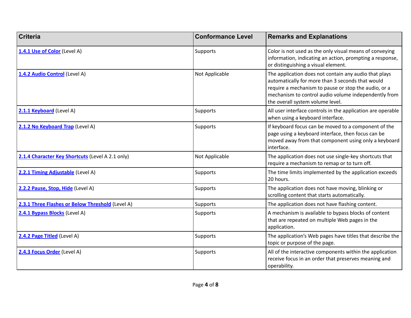| <b>Criteria</b>                                  | <b>Conformance Level</b> | <b>Remarks and Explanations</b>                                                                                                                                                                                                                               |
|--------------------------------------------------|--------------------------|---------------------------------------------------------------------------------------------------------------------------------------------------------------------------------------------------------------------------------------------------------------|
| 1.4.1 Use of Color (Level A)                     | Supports                 | Color is not used as the only visual means of conveying<br>information, indicating an action, prompting a response,<br>or distinguishing a visual element.                                                                                                    |
| 1.4.2 Audio Control (Level A)                    | Not Applicable           | The application does not contain any audio that plays<br>automatically for more than 3 seconds that would<br>require a mechanism to pause or stop the audio, or a<br>mechanism to control audio volume independently from<br>the overall system volume level. |
| 2.1.1 Keyboard (Level A)                         | Supports                 | All user interface controls in the application are operable<br>when using a keyboard interface.                                                                                                                                                               |
| 2.1.2 No Keyboard Trap (Level A)                 | Supports                 | If keyboard focus can be moved to a component of the<br>page using a keyboard interface, then focus can be<br>moved away from that component using only a keyboard<br>interface.                                                                              |
| 2.1.4 Character Key Shortcuts (Level A 2.1 only) | Not Applicable           | The application does not use single-key shortcuts that<br>require a mechanism to remap or to turn off.                                                                                                                                                        |
| 2.2.1 Timing Adjustable (Level A)                | Supports                 | The time limits implemented by the application exceeds<br>20 hours.                                                                                                                                                                                           |
| 2.2.2 Pause, Stop, Hide (Level A)                | Supports                 | The application does not have moving, blinking or<br>scrolling content that starts automatically.                                                                                                                                                             |
| 2.3.1 Three Flashes or Below Threshold (Level A) | Supports                 | The application does not have flashing content.                                                                                                                                                                                                               |
| 2.4.1 Bypass Blocks (Level A)                    | Supports                 | A mechanism is available to bypass blocks of content<br>that are repeated on multiple Web pages in the<br>application.                                                                                                                                        |
| 2.4.2 Page Titled (Level A)                      | Supports                 | The application's Web pages have titles that describe the<br>topic or purpose of the page.                                                                                                                                                                    |
| 2.4.3 Focus Order (Level A)                      | Supports                 | All of the interactive components within the application<br>receive focus in an order that preserves meaning and<br>operability.                                                                                                                              |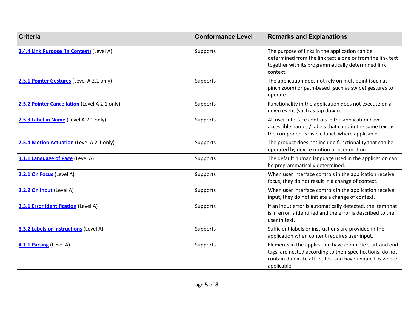| <b>Criteria</b>                               | <b>Conformance Level</b> | <b>Remarks and Explanations</b>                                                                                                                                                                 |
|-----------------------------------------------|--------------------------|-------------------------------------------------------------------------------------------------------------------------------------------------------------------------------------------------|
| 2.4.4 Link Purpose (In Context) (Level A)     | Supports                 | The purpose of links in the application can be<br>determined from the link text alone or from the link text<br>together with its programmatically determined link<br>context.                   |
| 2.5.1 Pointer Gestures (Level A 2.1 only)     | Supports                 | The application does not rely on multipoint (such as<br>pinch zoom) or path-based (such as swipe) gestures to<br>operate.                                                                       |
| 2.5.2 Pointer Cancellation (Level A 2.1 only) | Supports                 | Functionality in the application does not execute on a<br>down event (such as tap down).                                                                                                        |
| 2.5.3 Label in Name (Level A 2.1 only)        | Supports                 | All user interface controls in the application have<br>accessible names / labels that contain the same text as<br>the component's visible label, where applicable.                              |
| 2.5.4 Motion Actuation (Level A 2.1 only)     | Supports                 | The product does not include functionality that can be<br>operated by device motion or user motion.                                                                                             |
| 3.1.1 Language of Page (Level A)              | Supports                 | The default human language used in the application can<br>be programmatically determined.                                                                                                       |
| 3.2.1 On Focus (Level A)                      | Supports                 | When user interface controls in the application receive<br>focus, they do not result in a change of context.                                                                                    |
| 3.2.2 On Input (Level A)                      | Supports                 | When user interface controls in the application receive<br>input, they do not initiate a change of context.                                                                                     |
| <b>3.3.1 Error Identification</b> (Level A)   | Supports                 | If an input error is automatically detected, the item that<br>is in error is identified and the error is described to the<br>user in text.                                                      |
| 3.3.2 Labels or Instructions (Level A)        | Supports                 | Sufficient labels or instructions are provided in the<br>application when content requires user input.                                                                                          |
| 4.1.1 Parsing (Level A)                       | Supports                 | Elements in the application have complete start and end<br>tags, are nested according to their specifications, do not<br>contain duplicate attributes, and have unique IDs where<br>applicable. |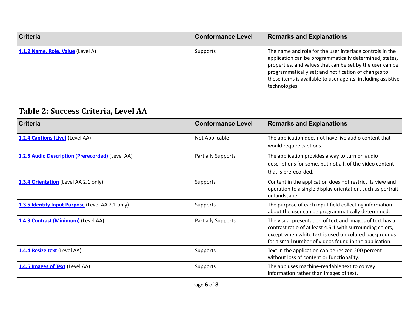| <b>Criteria</b>                   | <b>Conformance Level</b> | <b>Remarks and Explanations</b>                                                                                                                                                                                                                                                                                           |
|-----------------------------------|--------------------------|---------------------------------------------------------------------------------------------------------------------------------------------------------------------------------------------------------------------------------------------------------------------------------------------------------------------------|
| 4.1.2 Name, Role, Value (Level A) | <b>Supports</b>          | The name and role for the user interface controls in the<br>application can be programmatically determined; states,<br>properties, and values that can be set by the user can be<br>programmatically set; and notification of changes to<br>these items is available to user agents, including assistive<br>technologies. |

#### **Table 2: Success Criteria, Level AA**

| <b>Criteria</b>                                  | <b>Conformance Level</b>  | <b>Remarks and Explanations</b>                                                                                                                                                                                                          |
|--------------------------------------------------|---------------------------|------------------------------------------------------------------------------------------------------------------------------------------------------------------------------------------------------------------------------------------|
| 1.2.4 Captions (Live) (Level AA)                 | Not Applicable            | The application does not have live audio content that<br>would require captions.                                                                                                                                                         |
| 1.2.5 Audio Description (Prerecorded) (Level AA) | <b>Partially Supports</b> | The application provides a way to turn on audio<br>descriptions for some, but not all, of the video content<br>that is prerecorded.                                                                                                      |
| 1.3.4 Orientation (Level AA 2.1 only)            | Supports                  | Content in the application does not restrict its view and<br>operation to a single display orientation, such as portrait<br>or landscape.                                                                                                |
| 1.3.5 Identify Input Purpose (Level AA 2.1 only) | <b>Supports</b>           | The purpose of each input field collecting information<br>about the user can be programmatically determined.                                                                                                                             |
| 1.4.3 Contrast (Minimum) (Level AA)              | <b>Partially Supports</b> | The visual presentation of text and images of text has a<br>contrast ratio of at least 4.5:1 with surrounding colors,<br>except when white text is used on colored backgrounds<br>for a small number of videos found in the application. |
| 1.4.4 Resize text (Level AA)                     | Supports                  | Text in the application can be resized 200 percent<br>without loss of content or functionality.                                                                                                                                          |
| 1.4.5 Images of Text (Level AA)                  | Supports                  | The app uses machine-readable text to convey<br>information rather than images of text.                                                                                                                                                  |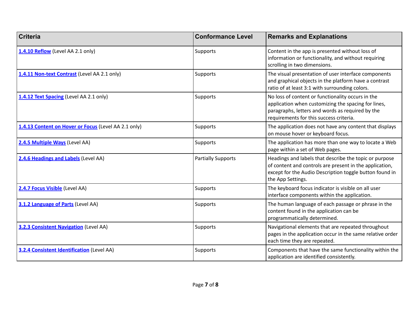| <b>Criteria</b>                                      | <b>Conformance Level</b>  | <b>Remarks and Explanations</b>                                                                                                                                                                         |
|------------------------------------------------------|---------------------------|---------------------------------------------------------------------------------------------------------------------------------------------------------------------------------------------------------|
| 1.4.10 Reflow (Level AA 2.1 only)                    | Supports                  | Content in the app is presented without loss of<br>information or functionality, and without requiring<br>scrolling in two dimensions.                                                                  |
| 1.4.11 Non-text Contrast (Level AA 2.1 only)         | Supports                  | The visual presentation of user interface components<br>and graphical objects in the platform have a contrast<br>ratio of at least 3:1 with surrounding colors.                                         |
| 1.4.12 Text Spacing (Level AA 2.1 only)              | Supports                  | No loss of content or functionality occurs in the<br>application when customizing the spacing for lines,<br>paragraphs, letters and words as required by the<br>requirements for this success criteria. |
| 1.4.13 Content on Hover or Focus (Level AA 2.1 only) | Supports                  | The application does not have any content that displays<br>on mouse hover or keyboard focus.                                                                                                            |
| 2.4.5 Multiple Ways (Level AA)                       | Supports                  | The application has more than one way to locate a Web<br>page within a set of Web pages.                                                                                                                |
| 2.4.6 Headings and Labels (Level AA)                 | <b>Partially Supports</b> | Headings and labels that describe the topic or purpose<br>of content and controls are present in the application,<br>except for the Audio Description toggle button found in<br>the App Settings.       |
| 2.4.7 Focus Visible (Level AA)                       | Supports                  | The keyboard focus indicator is visible on all user<br>interface components within the application.                                                                                                     |
| 3.1.2 Language of Parts (Level AA)                   | Supports                  | The human language of each passage or phrase in the<br>content found in the application can be<br>programmatically determined.                                                                          |
| <b>3.2.3 Consistent Navigation (Level AA)</b>        | Supports                  | Navigational elements that are repeated throughout<br>pages in the application occur in the same relative order<br>each time they are repeated.                                                         |
| <b>3.2.4 Consistent Identification (Level AA)</b>    | Supports                  | Components that have the same functionality within the<br>application are identified consistently.                                                                                                      |